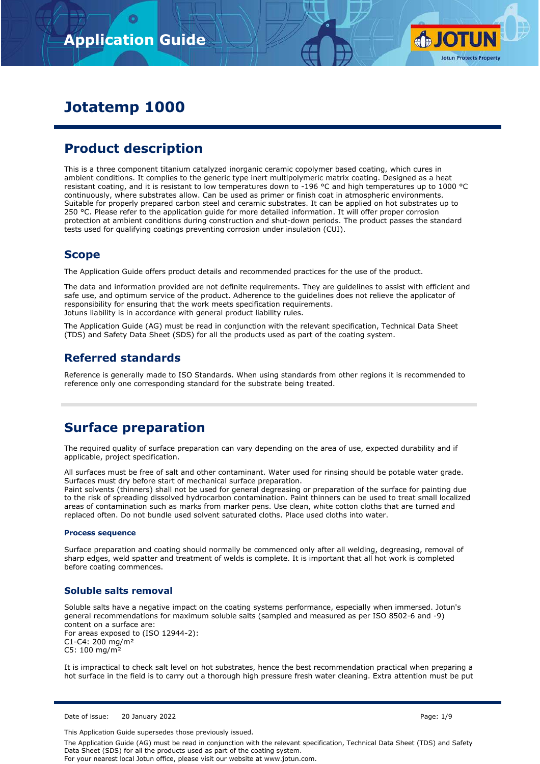

# **Jotatemp 1000**

# **Product description**

This is a three component titanium catalyzed inorganic ceramic copolymer based coating, which cures in ambient conditions. It complies to the generic type inert multipolymeric matrix coating. Designed as a heat resistant coating, and it is resistant to low temperatures down to -196 °C and high temperatures up to 1000 °C continuously, where substrates allow. Can be used as primer or finish coat in atmospheric environments. Suitable for properly prepared carbon steel and ceramic substrates. It can be applied on hot substrates up to 250 °C. Please refer to the application guide for more detailed information. It will offer proper corrosion protection at ambient conditions during construction and shut-down periods. The product passes the standard tests used for qualifying coatings preventing corrosion under insulation (CUI).

## **Scope**

The Application Guide offers product details and recommended practices for the use of the product.

The data and information provided are not definite requirements. They are guidelines to assist with efficient and safe use, and optimum service of the product. Adherence to the guidelines does not relieve the applicator of responsibility for ensuring that the work meets specification requirements. Jotuns liability is in accordance with general product liability rules.

The Application Guide (AG) must be read in conjunction with the relevant specification, Technical Data Sheet (TDS) and Safety Data Sheet (SDS) for all the products used as part of the coating system.

## **Referred standards**

Reference is generally made to ISO Standards. When using standards from other regions it is recommended to reference only one corresponding standard for the substrate being treated.

# **Surface preparation**

The required quality of surface preparation can vary depending on the area of use, expected durability and if applicable, project specification.

All surfaces must be free of salt and other contaminant. Water used for rinsing should be potable water grade. Surfaces must dry before start of mechanical surface preparation.

Paint solvents (thinners) shall not be used for general degreasing or preparation of the surface for painting due to the risk of spreading dissolved hydrocarbon contamination. Paint thinners can be used to treat small localized areas of contamination such as marks from marker pens. Use clean, white cotton cloths that are turned and replaced often. Do not bundle used solvent saturated cloths. Place used cloths into water.

## **Process sequence**

Surface preparation and coating should normally be commenced only after all welding, degreasing, removal of sharp edges, weld spatter and treatment of welds is complete. It is important that all hot work is completed before coating commences.

## **Soluble salts removal**

Soluble salts have a negative impact on the coating systems performance, especially when immersed. Jotun's general recommendations for maximum soluble salts (sampled and measured as per ISO 8502-6 and -9) content on a surface are: For areas exposed to (ISO 12944-2): C1-C4: 200 mg/m² C5: 100 mg/m²

It is impractical to check salt level on hot substrates, hence the best recommendation practical when preparing a hot surface in the field is to carry out a thorough high pressure fresh water cleaning. Extra attention must be put

Date of issue: 20 January 2022 Page: 1/9

This Application Guide supersedes those previously issued.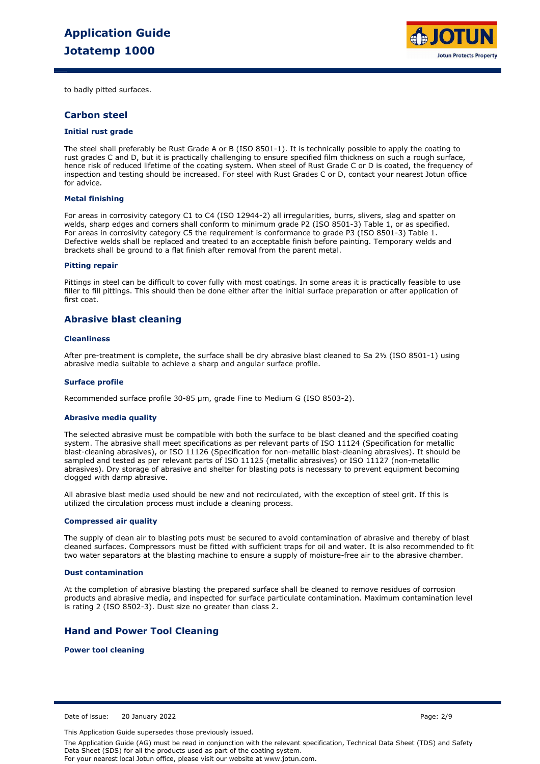

to badly pitted surfaces.

## **Carbon steel**

### **Initial rust grade**

The steel shall preferably be Rust Grade A or B (ISO 8501-1). It is technically possible to apply the coating to rust grades C and D, but it is practically challenging to ensure specified film thickness on such a rough surface, hence risk of reduced lifetime of the coating system. When steel of Rust Grade C or D is coated, the frequency of inspection and testing should be increased. For steel with Rust Grades C or D, contact your nearest Jotun office for advice.

### **Metal finishing**

For areas in corrosivity category C1 to C4 (ISO 12944-2) all irregularities, burrs, slivers, slag and spatter on welds, sharp edges and corners shall conform to minimum grade P2 (ISO 8501-3) Table 1, or as specified. For areas in corrosivity category C5 the requirement is conformance to grade P3 (ISO 8501-3) Table 1. Defective welds shall be replaced and treated to an acceptable finish before painting. Temporary welds and brackets shall be ground to a flat finish after removal from the parent metal.

### **Pitting repair**

Pittings in steel can be difficult to cover fully with most coatings. In some areas it is practically feasible to use filler to fill pittings. This should then be done either after the initial surface preparation or after application of first coat.

## **Abrasive blast cleaning**

### **Cleanliness**

After pre-treatment is complete, the surface shall be dry abrasive blast cleaned to Sa 2½ (ISO 8501-1) using abrasive media suitable to achieve a sharp and angular surface profile.

#### **Surface profile**

Recommended surface profile 30-85 µm, grade Fine to Medium G (ISO 8503-2).

### **Abrasive media quality**

The selected abrasive must be compatible with both the surface to be blast cleaned and the specified coating system. The abrasive shall meet specifications as per relevant parts of ISO 11124 (Specification for metallic blast-cleaning abrasives), or ISO 11126 (Specification for non-metallic blast-cleaning abrasives). It should be sampled and tested as per relevant parts of ISO 11125 (metallic abrasives) or ISO 11127 (non-metallic abrasives). Dry storage of abrasive and shelter for blasting pots is necessary to prevent equipment becoming clogged with damp abrasive.

All abrasive blast media used should be new and not recirculated, with the exception of steel grit. If this is utilized the circulation process must include a cleaning process.

### **Compressed air quality**

The supply of clean air to blasting pots must be secured to avoid contamination of abrasive and thereby of blast cleaned surfaces. Compressors must be fitted with sufficient traps for oil and water. It is also recommended to fit two water separators at the blasting machine to ensure a supply of moisture-free air to the abrasive chamber.

### **Dust contamination**

At the completion of abrasive blasting the prepared surface shall be cleaned to remove residues of corrosion products and abrasive media, and inspected for surface particulate contamination. Maximum contamination level is rating 2 (ISO 8502-3). Dust size no greater than class 2.

## **Hand and Power Tool Cleaning**

**Power tool cleaning**

Date of issue: 20 January 2022 Page: 2/9

This Application Guide supersedes those previously issued.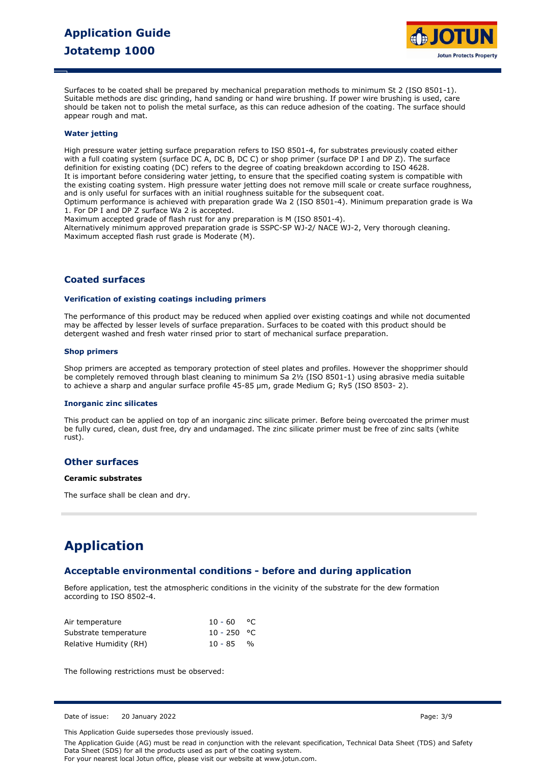

Surfaces to be coated shall be prepared by mechanical preparation methods to minimum St 2 (ISO 8501-1). Suitable methods are disc grinding, hand sanding or hand wire brushing. If power wire brushing is used, care should be taken not to polish the metal surface, as this can reduce adhesion of the coating. The surface should appear rough and mat.

## **Water jetting**

High pressure water jetting surface preparation refers to ISO 8501-4, for substrates previously coated either with a full coating system (surface DC A, DC B, DC C) or shop primer (surface DP I and DP Z). The surface definition for existing coating (DC) refers to the degree of coating breakdown according to ISO 4628. It is important before considering water jetting, to ensure that the specified coating system is compatible with the existing coating system. High pressure water jetting does not remove mill scale or create surface roughness, and is only useful for surfaces with an initial roughness suitable for the subsequent coat. Optimum performance is achieved with preparation grade Wa 2 (ISO 8501-4). Minimum preparation grade is Wa 1. For DP I and DP Z surface Wa 2 is accepted.

Maximum accepted grade of flash rust for any preparation is M (ISO 8501-4).

Alternatively minimum approved preparation grade is SSPC-SP WJ-2/ NACE WJ-2, Very thorough cleaning. Maximum accepted flash rust grade is Moderate (M).

## **Coated surfaces**

### **Verification of existing coatings including primers**

The performance of this product may be reduced when applied over existing coatings and while not documented may be affected by lesser levels of surface preparation. Surfaces to be coated with this product should be detergent washed and fresh water rinsed prior to start of mechanical surface preparation.

## **Shop primers**

Shop primers are accepted as temporary protection of steel plates and profiles. However the shopprimer should be completely removed through blast cleaning to minimum Sa 2½ (ISO 8501-1) using abrasive media suitable to achieve a sharp and angular surface profile 45-85 µm, grade Medium G; Ry5 (ISO 8503- 2).

### **Inorganic zinc silicates**

This product can be applied on top of an inorganic zinc silicate primer. Before being overcoated the primer must be fully cured, clean, dust free, dry and undamaged. The zinc silicate primer must be free of zinc salts (white rust).

## **Other surfaces**

### **Ceramic substrates**

The surface shall be clean and dry.

# **Application**

## **Acceptable environmental conditions - before and during application**

Before application, test the atmospheric conditions in the vicinity of the substrate for the dew formation according to ISO 8502-4.

| Air temperature        | $10 - 60$ °C  |  |
|------------------------|---------------|--|
| Substrate temperature  | $10 - 250$ °C |  |
| Relative Humidity (RH) | $10 - 85$ %   |  |

The following restrictions must be observed:

Date of issue: 20 January 2022 Page: 3/9

This Application Guide supersedes those previously issued.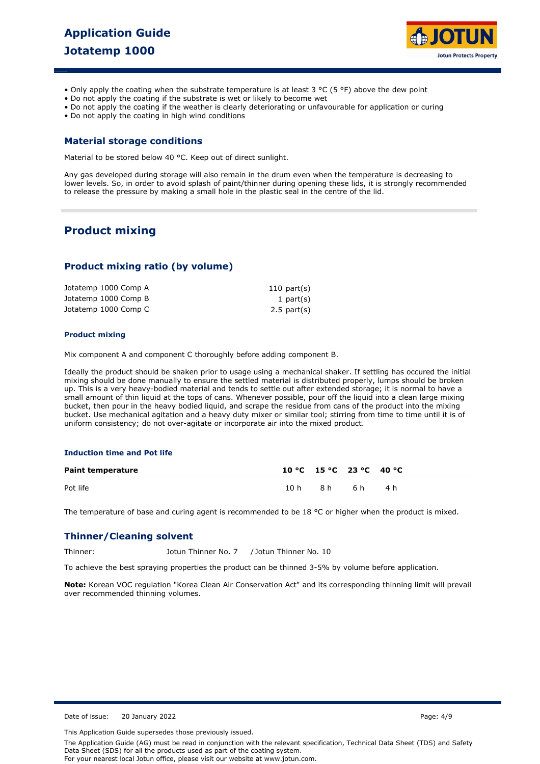

- Only apply the coating when the substrate temperature is at least 3 °C (5 °F) above the dew point
- Do not apply the coating if the substrate is wet or likely to become wet
- Do not apply the coating if the weather is clearly deteriorating or unfavourable for application or curing
- Do not apply the coating in high wind conditions

## **Material storage conditions**

Material to be stored below 40 °C. Keep out of direct sunlight.

Any gas developed during storage will also remain in the drum even when the temperature is decreasing to lower levels. So, in order to avoid splash of paint/thinner during opening these lids, it is strongly recommended to release the pressure by making a small hole in the plastic seal in the centre of the lid.

## **Product mixing**

## **Product mixing ratio (by volume)**

| Jotatemp 1000 Comp A | $110$ part(s)    |
|----------------------|------------------|
| Jotatemp 1000 Comp B | 1 $part(s)$      |
| Jotatemp 1000 Comp C | $2.5$ part $(s)$ |

### **Product mixing**

Mix component A and component C thoroughly before adding component B.

Ideally the product should be shaken prior to usage using a mechanical shaker. If settling has occured the initial mixing should be done manually to ensure the settled material is distributed properly, lumps should be broken up. This is a very heavy-bodied material and tends to settle out after extended storage; it is normal to have a small amount of thin liquid at the tops of cans. Whenever possible, pour off the liquid into a clean large mixing bucket, then pour in the heavy bodied liquid, and scrape the residue from cans of the product into the mixing bucket. Use mechanical agitation and a heavy duty mixer or similar tool; stirring from time to time until it is of uniform consistency; do not over-agitate or incorporate air into the mixed product.

## **Induction time and Pot life**

| <b>Paint temperature</b> | 10 °C 15 °C 23 °C 40 °C |              |  |
|--------------------------|-------------------------|--------------|--|
| Pot life                 |                         | 10h 8h 6h 4h |  |

The temperature of base and curing agent is recommended to be 18  $^{\circ}$ C or higher when the product is mixed.

## **Thinner/Cleaning solvent**

Thinner: Jotun Thinner No. 7 / Jotun Thinner No. 10

To achieve the best spraying properties the product can be thinned 3-5% by volume before application.

**Note:** Korean VOC regulation "Korea Clean Air Conservation Act" and its corresponding thinning limit will prevail over recommended thinning volumes.

Date of issue: 20 January 2022 Page: 4/9

This Application Guide supersedes those previously issued.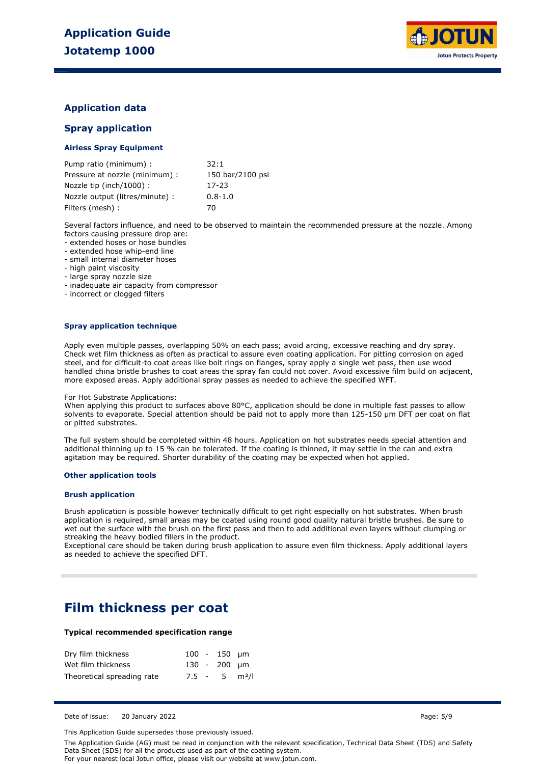

## **Application data**

## **Spray application**

## **Airless Spray Equipment**

| Pump ratio (minimum) :          | 32:1             |
|---------------------------------|------------------|
| Pressure at nozzle (minimum) :  | 150 bar/2100 psi |
| Nozzle tip (inch/1000):         | 17-23            |
| Nozzle output (litres/minute) : | $0.8 - 1.0$      |
| Filters (mesh) :                | 70               |

Several factors influence, and need to be observed to maintain the recommended pressure at the nozzle. Among factors causing pressure drop are:

- extended hoses or hose bundles

- extended hose whip-end line

- small internal diameter hoses

- high paint viscosity

- large spray nozzle size

- inadequate air capacity from compressor

- incorrect or clogged filters

### **Spray application technique**

Apply even multiple passes, overlapping 50% on each pass; avoid arcing, excessive reaching and dry spray. Check wet film thickness as often as practical to assure even coating application. For pitting corrosion on aged steel, and for difficult-to coat areas like bolt rings on flanges, spray apply a single wet pass, then use wood handled china bristle brushes to coat areas the spray fan could not cover. Avoid excessive film build on adjacent, more exposed areas. Apply additional spray passes as needed to achieve the specified WFT.

#### For Hot Substrate Applications:

When applying this product to surfaces above 80°C, application should be done in multiple fast passes to allow solvents to evaporate. Special attention should be paid not to apply more than 125-150 µm DFT per coat on flat or pitted substrates.

The full system should be completed within 48 hours. Application on hot substrates needs special attention and additional thinning up to 15 % can be tolerated. If the coating is thinned, it may settle in the can and extra agitation may be required. Shorter durability of the coating may be expected when hot applied.

### **Other application tools**

## **Brush application**

Brush application is possible however technically difficult to get right especially on hot substrates. When brush application is required, small areas may be coated using round good quality natural bristle brushes. Be sure to wet out the surface with the brush on the first pass and then to add additional even layers without clumping or streaking the heavy bodied fillers in the product.

Exceptional care should be taken during brush application to assure even film thickness. Apply additional layers as needed to achieve the specified DFT.

## **Film thickness per coat**

## **Typical recommended specification range**

| Dry film thickness         |  | $100 - 150$ um              |  |
|----------------------------|--|-----------------------------|--|
| Wet film thickness         |  | $130 - 200$ um              |  |
| Theoretical spreading rate |  | $7.5 - 5$ m <sup>2</sup> /l |  |

Date of issue: 20 January 2022 Page: 5/9

This Application Guide supersedes those previously issued.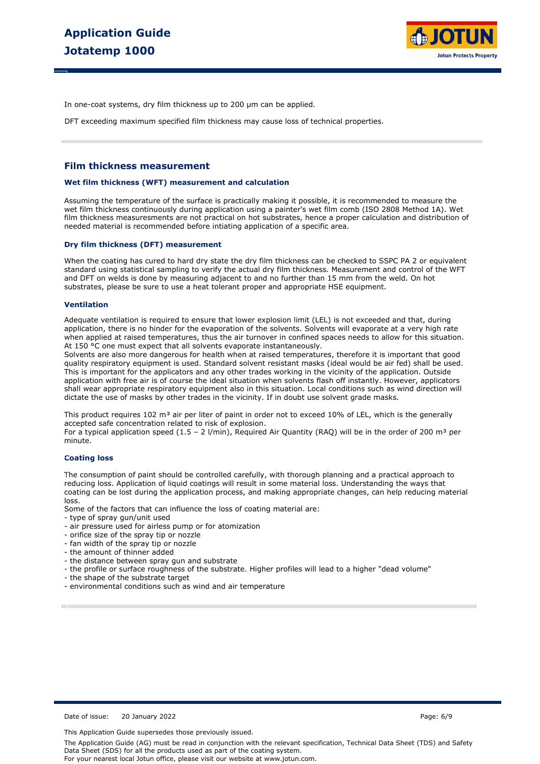

In one-coat systems, dry film thickness up to 200 µm can be applied.

DFT exceeding maximum specified film thickness may cause loss of technical properties.

## **Film thickness measurement**

#### **Wet film thickness (WFT) measurement and calculation**

Assuming the temperature of the surface is practically making it possible, it is recommended to measure the wet film thickness continuously during application using a painter's wet film comb (ISO 2808 Method 1A). Wet film thickness measuresments are not practical on hot substrates, hence a proper calculation and distribution of needed material is recommended before intiating application of a specific area.

#### **Dry film thickness (DFT) measurement**

When the coating has cured to hard dry state the dry film thickness can be checked to SSPC PA 2 or equivalent standard using statistical sampling to verify the actual dry film thickness. Measurement and control of the WFT and DFT on welds is done by measuring adjacent to and no further than 15 mm from the weld. On hot substrates, please be sure to use a heat tolerant proper and appropriate HSE equipment.

#### **Ventilation**

Adequate ventilation is required to ensure that lower explosion limit (LEL) is not exceeded and that, during application, there is no hinder for the evaporation of the solvents. Solvents will evaporate at a very high rate when applied at raised temperatures, thus the air turnover in confined spaces needs to allow for this situation. At 150 °C one must expect that all solvents evaporate instantaneously.

Solvents are also more dangerous for health when at raised temperatures, therefore it is important that good quality respiratory equipment is used. Standard solvent resistant masks (ideal would be air fed) shall be used. This is important for the applicators and any other trades working in the vicinity of the application. Outside application with free air is of course the ideal situation when solvents flash off instantly. However, applicators shall wear appropriate respiratory equipment also in this situation. Local conditions such as wind direction will dictate the use of masks by other trades in the vicinity. If in doubt use solvent grade masks.

This product requires 102 m<sup>3</sup> air per liter of paint in order not to exceed 10% of LEL, which is the generally accepted safe concentration related to risk of explosion.

For a typical application speed (1.5 - 2 l/min), Required Air Quantity (RAQ) will be in the order of 200 m<sup>3</sup> per minute.

### **Coating loss**

The consumption of paint should be controlled carefully, with thorough planning and a practical approach to reducing loss. Application of liquid coatings will result in some material loss. Understanding the ways that coating can be lost during the application process, and making appropriate changes, can help reducing material loss.

Some of the factors that can influence the loss of coating material are:

- type of spray gun/unit used
- air pressure used for airless pump or for atomization
- orifice size of the spray tip or nozzle
- fan width of the spray tip or nozzle
- the amount of thinner added
- the distance between spray gun and substrate
- the profile or surface roughness of the substrate. Higher profiles will lead to a higher "dead volume"
- the shape of the substrate target
- environmental conditions such as wind and air temperature

Date of issue: 20 January 2022 Page: 6/9

This Application Guide supersedes those previously issued.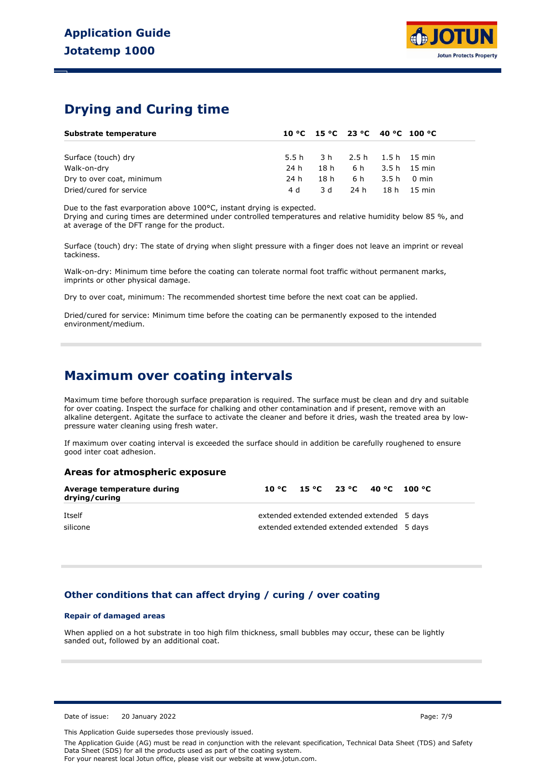# **Drying and Curing time**

| Substrate temperature     |       |     | 10 °C 15 °C 23 °C 40 °C 100 °C |             |
|---------------------------|-------|-----|--------------------------------|-------------|
|                           |       |     |                                |             |
| Surface (touch) dry       | 5.5 h |     | 3 h 2.5 h 1.5 h 15 min         |             |
| Walk-on-dry               | 24 h  |     | 18 h 6 h 3.5 h 15 min          |             |
| Dry to over coat, minimum | 24 h  |     | 18 h 6 h 3.5 h 0 min           |             |
| Dried/cured for service   | 4 d   | 3 d | 24 h                           | 18 h 15 min |

Due to the fast evarporation above 100°C, instant drying is expected.

Drying and curing times are determined under controlled temperatures and relative humidity below 85 %, and at average of the DFT range for the product.

Surface (touch) dry: The state of drying when slight pressure with a finger does not leave an imprint or reveal tackiness.

Walk-on-dry: Minimum time before the coating can tolerate normal foot traffic without permanent marks, imprints or other physical damage.

Dry to over coat, minimum: The recommended shortest time before the next coat can be applied.

Dried/cured for service: Minimum time before the coating can be permanently exposed to the intended environment/medium.

## **Maximum over coating intervals**

Maximum time before thorough surface preparation is required. The surface must be clean and dry and suitable for over coating. Inspect the surface for chalking and other contamination and if present, remove with an alkaline detergent. Agitate the surface to activate the cleaner and before it dries, wash the treated area by lowpressure water cleaning using fresh water.

If maximum over coating interval is exceeded the surface should in addition be carefully roughened to ensure good inter coat adhesion.

## **Areas for atmospheric exposure**

| Average temperature during<br>drying/curing |                                                                                          | 10 °C 15 °C 23 °C 40 °C 100 °C |  |  |
|---------------------------------------------|------------------------------------------------------------------------------------------|--------------------------------|--|--|
| Itself<br>silicone                          | extended extended extended extended 5 days<br>extended extended extended extended 5 days |                                |  |  |

## **Other conditions that can affect drying / curing / over coating**

## **Repair of damaged areas**

When applied on a hot substrate in too high film thickness, small bubbles may occur, these can be lightly sanded out, followed by an additional coat.

Date of issue: 20 January 2022 Page: 7/9

This Application Guide supersedes those previously issued.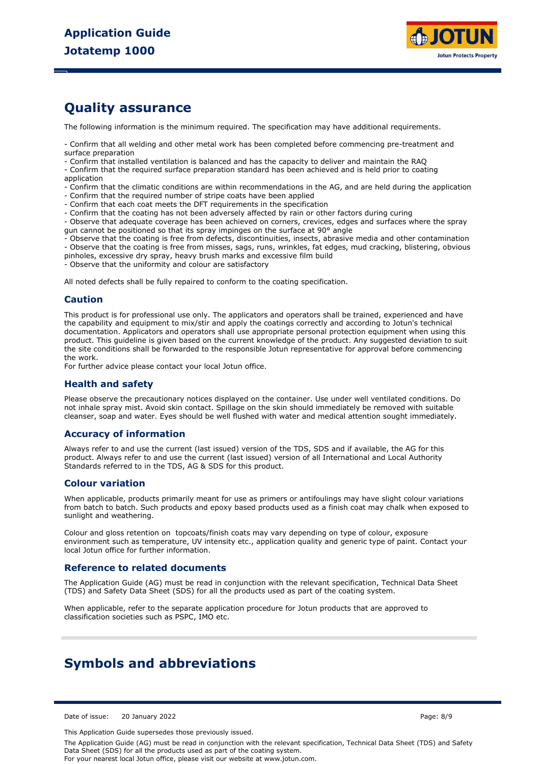

# **Quality assurance**

The following information is the minimum required. The specification may have additional requirements.

- Confirm that all welding and other metal work has been completed before commencing pre-treatment and surface preparation

- Confirm that installed ventilation is balanced and has the capacity to deliver and maintain the RAQ

- Confirm that the required surface preparation standard has been achieved and is held prior to coating application

- Confirm that the climatic conditions are within recommendations in the AG, and are held during the application

- Confirm that the required number of stripe coats have been applied
- Confirm that each coat meets the DFT requirements in the specification
- Confirm that the coating has not been adversely affected by rain or other factors during curing

- Observe that adequate coverage has been achieved on corners, crevices, edges and surfaces where the spray gun cannot be positioned so that its spray impinges on the surface at 90° angle

- Observe that the coating is free from defects, discontinuities, insects, abrasive media and other contamination

- Observe that the coating is free from misses, sags, runs, wrinkles, fat edges, mud cracking, blistering, obvious

pinholes, excessive dry spray, heavy brush marks and excessive film build

- Observe that the uniformity and colour are satisfactory

All noted defects shall be fully repaired to conform to the coating specification.

## **Caution**

This product is for professional use only. The applicators and operators shall be trained, experienced and have the capability and equipment to mix/stir and apply the coatings correctly and according to Jotun's technical documentation. Applicators and operators shall use appropriate personal protection equipment when using this product. This guideline is given based on the current knowledge of the product. Any suggested deviation to suit the site conditions shall be forwarded to the responsible Jotun representative for approval before commencing the work.

For further advice please contact your local Jotun office.

## **Health and safety**

Please observe the precautionary notices displayed on the container. Use under well ventilated conditions. Do not inhale spray mist. Avoid skin contact. Spillage on the skin should immediately be removed with suitable cleanser, soap and water. Eyes should be well flushed with water and medical attention sought immediately.

## **Accuracy of information**

Always refer to and use the current (last issued) version of the TDS, SDS and if available, the AG for this product. Always refer to and use the current (last issued) version of all International and Local Authority Standards referred to in the TDS, AG & SDS for this product.

## **Colour variation**

When applicable, products primarily meant for use as primers or antifoulings may have slight colour variations from batch to batch. Such products and epoxy based products used as a finish coat may chalk when exposed to sunlight and weathering.

Colour and gloss retention on topcoats/finish coats may vary depending on type of colour, exposure environment such as temperature, UV intensity etc., application quality and generic type of paint. Contact your local Jotun office for further information.

## **Reference to related documents**

The Application Guide (AG) must be read in conjunction with the relevant specification, Technical Data Sheet (TDS) and Safety Data Sheet (SDS) for all the products used as part of the coating system.

When applicable, refer to the separate application procedure for Jotun products that are approved to classification societies such as PSPC, IMO etc.

# **Symbols and abbreviations**

Date of issue: 20 January 2022 Page: 8/9

This Application Guide supersedes those previously issued.